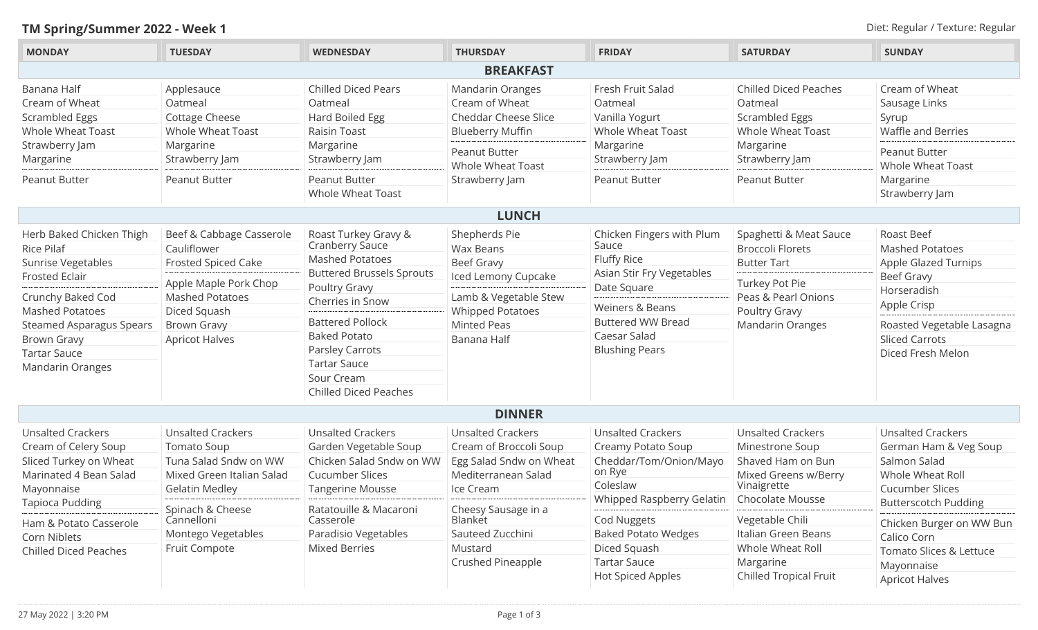## **TM Spring/Summer 2022 - Week 1** Diet: Regular / Texture: Regular

| <b>MONDAY</b>                                                                                                                                                                                                                                   | <b>TUESDAY</b>                                                                                                                                                                   | <b>WEDNESDAY</b>                                                                                                                                                                                                                                                                     | <b>THURSDAY</b>                                                                                                                                             | <b>FRIDAY</b>                                                                                                                                                                                    | <b>SATURDAY</b>                                                                                                                                       | <b>SUNDAY</b>                                                                                                                                                                       |  |  |
|-------------------------------------------------------------------------------------------------------------------------------------------------------------------------------------------------------------------------------------------------|----------------------------------------------------------------------------------------------------------------------------------------------------------------------------------|--------------------------------------------------------------------------------------------------------------------------------------------------------------------------------------------------------------------------------------------------------------------------------------|-------------------------------------------------------------------------------------------------------------------------------------------------------------|--------------------------------------------------------------------------------------------------------------------------------------------------------------------------------------------------|-------------------------------------------------------------------------------------------------------------------------------------------------------|-------------------------------------------------------------------------------------------------------------------------------------------------------------------------------------|--|--|
| <b>BREAKFAST</b>                                                                                                                                                                                                                                |                                                                                                                                                                                  |                                                                                                                                                                                                                                                                                      |                                                                                                                                                             |                                                                                                                                                                                                  |                                                                                                                                                       |                                                                                                                                                                                     |  |  |
| Banana Half<br>Cream of Wheat<br>Scrambled Eggs<br>Whole Wheat Toast<br>Strawberry Jam<br>Margarine<br>Peanut Butter                                                                                                                            | Applesauce<br>Oatmeal<br>Cottage Cheese<br>Whole Wheat Toast<br>Margarine<br>Strawberry Jam<br>Peanut Butter                                                                     | <b>Chilled Diced Pears</b><br>Oatmeal<br>Hard Boiled Egg<br>Raisin Toast<br>Margarine<br>Strawberry Jam<br><b>Peanut Butter</b><br><b>Whole Wheat Toast</b>                                                                                                                          | <b>Mandarin Oranges</b><br>Cream of Wheat<br>Cheddar Cheese Slice<br><b>Blueberry Muffin</b><br><b>Peanut Butter</b><br>Whole Wheat Toast<br>Strawberry Jam | Fresh Fruit Salad<br>Oatmeal<br>Vanilla Yogurt<br><b>Whole Wheat Toast</b><br>Margarine<br>Strawberry Jam<br>Peanut Butter                                                                       | <b>Chilled Diced Peaches</b><br>Oatmeal<br>Scrambled Eggs<br>Whole Wheat Toast<br>Margarine<br>Strawberry Jam<br>Peanut Butter                        | Cream of Wheat<br>Sausage Links<br>Syrup<br>Waffle and Berries<br>Peanut Butter<br>Whole Wheat Toast<br>Margarine<br>Strawberry Jam                                                 |  |  |
|                                                                                                                                                                                                                                                 |                                                                                                                                                                                  |                                                                                                                                                                                                                                                                                      | <b>LUNCH</b>                                                                                                                                                |                                                                                                                                                                                                  |                                                                                                                                                       |                                                                                                                                                                                     |  |  |
| Herb Baked Chicken Thigh<br><b>Rice Pilaf</b><br>Sunrise Vegetables<br><b>Frosted Eclair</b><br>Crunchy Baked Cod<br><b>Mashed Potatoes</b><br><b>Steamed Asparagus Spears</b><br><b>Brown Gravy</b><br><b>Tartar Sauce</b><br>Mandarin Oranges | Beef & Cabbage Casserole<br>Cauliflower<br>Frosted Spiced Cake<br>Apple Maple Pork Chop<br><b>Mashed Potatoes</b><br>Diced Squash<br><b>Brown Gravy</b><br><b>Apricot Halves</b> | Roast Turkey Gravy &<br>Cranberry Sauce<br><b>Mashed Potatoes</b><br><b>Buttered Brussels Sprouts</b><br>Poultry Gravy<br>Cherries in Snow<br><b>Battered Pollock</b><br><b>Baked Potato</b><br>Parsley Carrots<br><b>Tartar Sauce</b><br>Sour Cream<br><b>Chilled Diced Peaches</b> | Shepherds Pie<br>Wax Beans<br>Beef Gravy<br>Iced Lemony Cupcake<br>Lamb & Vegetable Stew<br><b>Whipped Potatoes</b><br>Minted Peas<br>Banana Half           | Chicken Fingers with Plum<br>Sauce<br>Fluffy Rice<br>Asian Stir Fry Vegetables<br>Date Square<br><b>Weiners &amp; Beans</b><br><b>Buttered WW Bread</b><br>Caesar Salad<br><b>Blushing Pears</b> | Spaghetti & Meat Sauce<br><b>Broccoli Florets</b><br><b>Butter Tart</b><br>Turkey Pot Pie<br>Peas & Pearl Onions<br>Poultry Gravy<br>Mandarin Oranges | Roast Beef<br><b>Mashed Potatoes</b><br>Apple Glazed Turnips<br>Beef Gravy<br>Horseradish<br>Apple Crisp<br>Roasted Vegetable Lasagna<br><b>Sliced Carrots</b><br>Diced Fresh Melon |  |  |
|                                                                                                                                                                                                                                                 |                                                                                                                                                                                  |                                                                                                                                                                                                                                                                                      | <b>DINNER</b>                                                                                                                                               |                                                                                                                                                                                                  |                                                                                                                                                       |                                                                                                                                                                                     |  |  |
| <b>Unsalted Crackers</b><br>Cream of Celery Soup<br>Sliced Turkey on Wheat<br>Marinated 4 Bean Salad<br>Mayonnaise<br>Tapioca Pudding                                                                                                           | <b>Unsalted Crackers</b><br><b>Tomato Soup</b><br>Tuna Salad Sndw on WW<br>Mixed Green Italian Salad<br><b>Gelatin Medley</b><br>Spinach & Cheese                                | <b>Unsalted Crackers</b><br>Garden Vegetable Soup<br>Chicken Salad Sndw on WW<br><b>Cucumber Slices</b><br><b>Tangerine Mousse</b><br>Ratatouille & Macaroni                                                                                                                         | <b>Unsalted Crackers</b><br>Cream of Broccoli Soup<br>Egg Salad Sndw on Wheat<br>Mediterranean Salad<br>Ice Cream<br>Cheesy Sausage in a                    | <b>Unsalted Crackers</b><br>Creamy Potato Soup<br>Cheddar/Tom/Onion/Mayo<br>on Rye<br>Coleslaw<br>Whipped Raspberry Gelatin                                                                      | <b>Unsalted Crackers</b><br>Minestrone Soup<br>Shaved Ham on Bun<br>Mixed Greens w/Berry<br>Vinaigrette<br><b>Chocolate Mousse</b>                    | <b>Unsalted Crackers</b><br>German Ham & Veg Soup<br>Salmon Salad<br>Whole Wheat Roll<br><b>Cucumber Slices</b><br><b>Butterscotch Pudding</b>                                      |  |  |
| Ham & Potato Casserole<br>Corn Niblets<br><b>Chilled Diced Peaches</b>                                                                                                                                                                          | Cannelloni<br>Montego Vegetables<br>Fruit Compote                                                                                                                                | Casserole<br>Paradisio Vegetables<br>Mixed Berries                                                                                                                                                                                                                                   | Blanket<br>Sauteed Zucchini<br>Mustard<br>Crushed Pineapple                                                                                                 | Cod Nuggets<br><b>Baked Potato Wedges</b><br>Diced Squash<br><b>Tartar Sauce</b><br><b>Hot Spiced Apples</b>                                                                                     | Vegetable Chili<br>Italian Green Beans<br>Whole Wheat Roll<br>Margarine<br>Chilled Tropical Fruit                                                     | Chicken Burger on WW Bun<br>Calico Corn<br>Tomato Slices & Lettuce<br>Mayonnaise<br><b>Apricot Halves</b>                                                                           |  |  |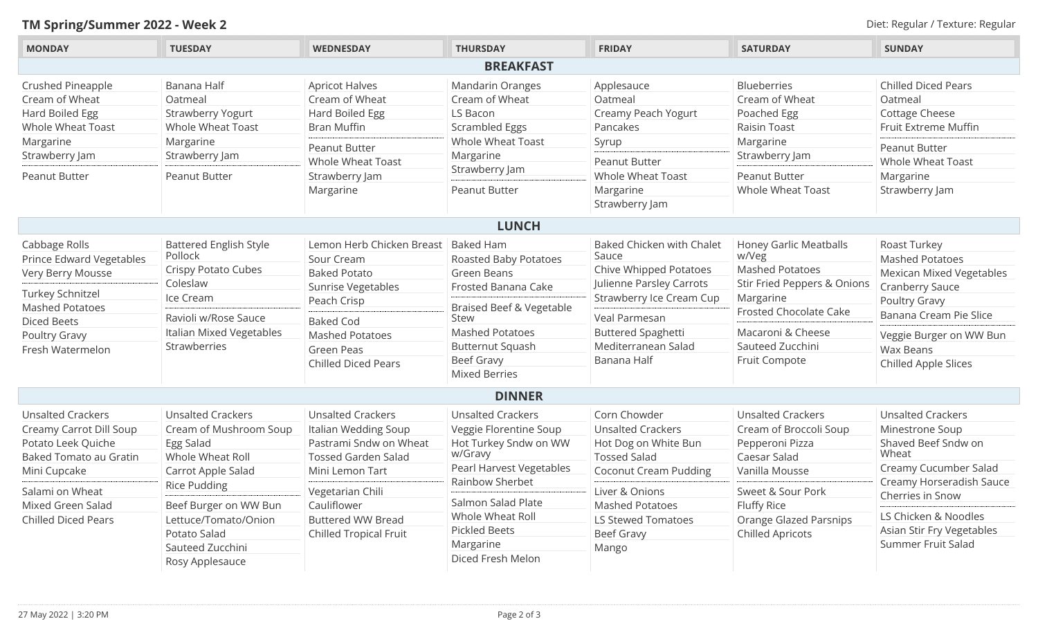## **TM Spring/Summer 2022 - Week 2** Diet: Regular / Texture: Regular

| <b>MONDAY</b>                              | <b>TUESDAY</b>                                | <b>WEDNESDAY</b>                      | <b>THURSDAY</b>          | <b>FRIDAY</b>                            | <b>SATURDAY</b>               | <b>SUNDAY</b>                   |
|--------------------------------------------|-----------------------------------------------|---------------------------------------|--------------------------|------------------------------------------|-------------------------------|---------------------------------|
|                                            |                                               |                                       | <b>BREAKFAST</b>         |                                          |                               |                                 |
| Crushed Pineapple                          | Banana Half                                   | <b>Apricot Halves</b>                 | Mandarin Oranges         | Applesauce                               | <b>Blueberries</b>            | <b>Chilled Diced Pears</b>      |
| Cream of Wheat                             | Oatmeal                                       | Cream of Wheat                        | Cream of Wheat           | Oatmeal                                  | Cream of Wheat                | Oatmeal                         |
| Hard Boiled Egg                            | <b>Strawberry Yogurt</b>                      | Hard Boiled Egg                       | LS Bacon                 | Creamy Peach Yogurt                      | Poached Egg                   | Cottage Cheese                  |
| Whole Wheat Toast                          | Whole Wheat Toast                             | <b>Bran Muffin</b>                    | Scrambled Eggs           | Pancakes                                 | Raisin Toast                  | Fruit Extreme Muffin            |
| Margarine                                  | Margarine                                     | Peanut Butter                         | Whole Wheat Toast        | Syrup                                    | Margarine                     | Peanut Butter                   |
| Strawberry Jam                             | Strawberry Jam                                | <b>Whole Wheat Toast</b>              | Margarine                | <b>Peanut Butter</b>                     | Strawberry Jam                | <b>Whole Wheat Toast</b>        |
| Peanut Butter                              | Peanut Butter                                 | Strawberry Jam                        | Strawberry Jam           | <b>Whole Wheat Toast</b>                 | <b>Peanut Butter</b>          | Margarine                       |
|                                            |                                               | Margarine                             | Peanut Butter            | Margarine                                | Whole Wheat Toast             | Strawberry Jam                  |
|                                            |                                               |                                       |                          | Strawberry Jam                           |                               |                                 |
|                                            |                                               |                                       |                          |                                          |                               |                                 |
|                                            |                                               |                                       | <b>LUNCH</b>             |                                          |                               |                                 |
| Cabbage Rolls                              | <b>Battered English Style</b>                 | Lemon Herb Chicken Breast   Baked Ham |                          | <b>Baked Chicken with Chalet</b>         | <b>Honey Garlic Meatballs</b> | Roast Turkey                    |
| Prince Edward Vegetables                   | Pollock                                       | Sour Cream                            | Roasted Baby Potatoes    | Sauce                                    | w/Veg                         | <b>Mashed Potatoes</b>          |
| Very Berry Mousse                          | Crispy Potato Cubes                           | <b>Baked Potato</b>                   | Green Beans              | Chive Whipped Potatoes                   | <b>Mashed Potatoes</b>        | <b>Mexican Mixed Vegetables</b> |
|                                            | Coleslaw                                      | Sunrise Vegetables                    | Frosted Banana Cake      | Julienne Parsley Carrots                 | Stir Fried Peppers & Onions   | Cranberry Sauce                 |
| Turkey Schnitzel<br><b>Mashed Potatoes</b> | Ice Cream                                     | Peach Crisp                           | Braised Beef & Vegetable | Strawberry Ice Cream Cup                 | Margarine                     | Poultry Gravy                   |
| <b>Diced Beets</b>                         | Ravioli w/Rose Sauce                          | <b>Baked Cod</b>                      | Stew                     | Veal Parmesan                            | <b>Frosted Chocolate Cake</b> | Banana Cream Pie Slice          |
| Poultry Gravy                              | Italian Mixed Vegetables                      | <b>Mashed Potatoes</b>                | <b>Mashed Potatoes</b>   | <b>Buttered Spaghetti</b>                | Macaroni & Cheese             | Veggie Burger on WW Bun         |
| Fresh Watermelon                           | Strawberries                                  | <b>Green Peas</b>                     | <b>Butternut Squash</b>  | Mediterranean Salad                      | Sauteed Zucchini              | Wax Beans                       |
|                                            |                                               | <b>Chilled Diced Pears</b>            | Beef Gravy               | Banana Half                              | Fruit Compote                 | Chilled Apple Slices            |
|                                            |                                               |                                       | <b>Mixed Berries</b>     |                                          |                               |                                 |
|                                            |                                               |                                       | <b>DINNER</b>            |                                          |                               |                                 |
| <b>Unsalted Crackers</b>                   | <b>Unsalted Crackers</b>                      | <b>Unsalted Crackers</b>              | <b>Unsalted Crackers</b> | Corn Chowder                             | <b>Unsalted Crackers</b>      | <b>Unsalted Crackers</b>        |
| Creamy Carrot Dill Soup                    | Cream of Mushroom Soup                        | Italian Wedding Soup                  | Veggie Florentine Soup   | <b>Unsalted Crackers</b>                 | Cream of Broccoli Soup        | Minestrone Soup                 |
| Potato Leek Quiche                         | Egg Salad                                     | Pastrami Sndw on Wheat                | Hot Turkey Sndw on WW    | Hot Dog on White Bun                     | Pepperoni Pizza               | Shaved Beef Sndw on             |
| Baked Tomato au Gratin                     | Whole Wheat Roll                              | <b>Tossed Garden Salad</b>            | w/Gravy                  | <b>Tossed Salad</b>                      | Caesar Salad                  | Wheat                           |
| Mini Cupcake                               | Carrot Apple Salad                            | Mini Lemon Tart                       | Pearl Harvest Vegetables | <b>Coconut Cream Pudding</b>             | Vanilla Mousse                | Creamy Cucumber Salad           |
|                                            | <b>Rice Pudding</b>                           |                                       | Rainbow Sherbet          |                                          | Sweet & Sour Pork             | Creamy Horseradish Sauce        |
| Salami on Wheat<br>Mixed Green Salad       |                                               | Vegetarian Chili<br>Cauliflower       | Salmon Salad Plate       | Liver & Onions<br><b>Mashed Potatoes</b> |                               | Cherries in Snow                |
| <b>Chilled Diced Pears</b>                 | Beef Burger on WW Bun<br>Lettuce/Tomato/Onion | <b>Buttered WW Bread</b>              | Whole Wheat Roll         | <b>LS Stewed Tomatoes</b>                | Fluffy Rice                   | LS Chicken & Noodles            |
|                                            | Potato Salad                                  |                                       | <b>Pickled Beets</b>     |                                          | <b>Orange Glazed Parsnips</b> | Asian Stir Fry Vegetables       |
|                                            |                                               | <b>Chilled Tropical Fruit</b>         | Margarine                | <b>Beef Gravy</b>                        | <b>Chilled Apricots</b>       | Summer Fruit Salad              |
|                                            | Sauteed Zucchini                              |                                       | Diced Fresh Melon        | Mango                                    |                               |                                 |
|                                            | Rosy Applesauce                               |                                       |                          |                                          |                               |                                 |